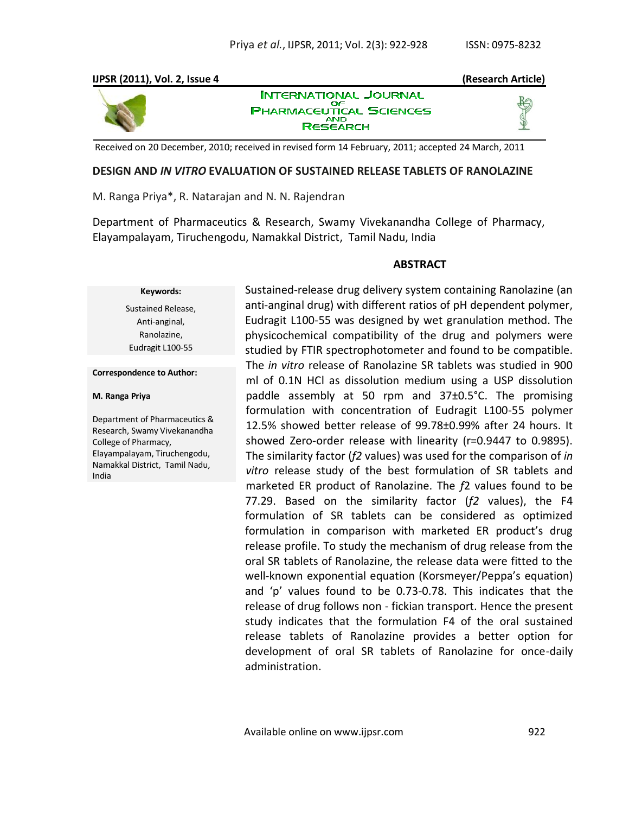#### **IJPSR (2011), Vol. 2, Issue 4 (Research Article) INTERNATIONAL JOURNAL** OΕ **PHARMACEUTICAL SCIENCES AND RESEARCH**

Received on 20 December, 2010; received in revised form 14 February, 2011; accepted 24 March, 2011

### **DESIGN AND** *IN VITRO* **EVALUATION OF SUSTAINED RELEASE TABLETS OF RANOLAZINE**

M. Ranga Priya\*, R. Natarajan and N. N. Rajendran

Department of Pharmaceutics & Research, Swamy Vivekanandha College of Pharmacy, Elayampalayam, Tiruchengodu, Namakkal District, Tamil Nadu, India

### **ABSTRACT**

# **Keywords:**

Sustained Release, Anti-anginal, Ranolazine, Eudragit L100-55

**Correspondence to Author:**

#### **M. Ranga Priya**

Department of Pharmaceutics & Research, Swamy Vivekanandha College of Pharmacy, Elayampalayam, Tiruchengodu, Namakkal District, Tamil Nadu, India

Sustained-release drug delivery system containing Ranolazine (an anti-anginal drug) with different ratios of pH dependent polymer, Eudragit L100-55 was designed by wet granulation method. The physicochemical compatibility of the drug and polymers were studied by FTIR spectrophotometer and found to be compatible. The *in vitro* release of Ranolazine SR tablets was studied in 900 ml of 0.1N HCl as dissolution medium using a USP dissolution paddle assembly at 50 rpm and 37±0.5°C. The promising formulation with concentration of Eudragit L100-55 polymer 12.5% showed better release of 99.78±0.99% after 24 hours. It showed Zero-order release with linearity (r=0.9447 to 0.9895). The similarity factor (*f2* values) was used for the comparison of *in vitro* release study of the best formulation of SR tablets and marketed ER product of Ranolazine. The *f*2 values found to be 77.29. Based on the similarity factor (*f2* values), the F4 formulation of SR tablets can be considered as optimized formulation in comparison with marketed ER product's drug release profile. To study the mechanism of drug release from the oral SR tablets of Ranolazine, the release data were fitted to the well-known exponential equation (Korsmeyer/Peppa's equation) and 'p' values found to be 0.73-0.78. This indicates that the release of drug follows non - fickian transport. Hence the present study indicates that the formulation F4 of the oral sustained release tablets of Ranolazine provides a better option for development of oral SR tablets of Ranolazine for once-daily administration.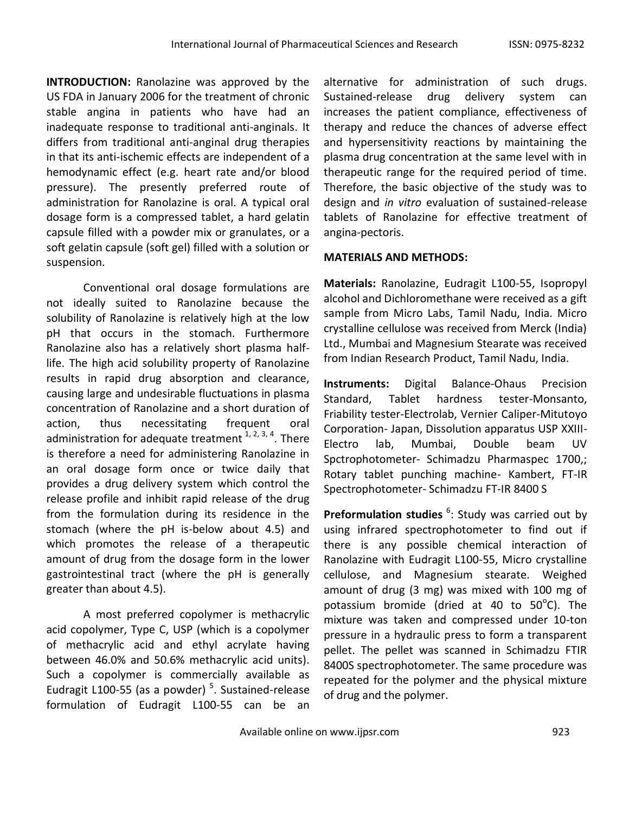**INTRODUCTION:** Ranolazine was approved by the US FDA in January 2006 for the treatment of chronic stable angina in patients who have had an inadequate response to traditional anti-anginals. It differs from traditional anti-anginal drug therapies in that its anti-ischemic effects are independent of a hemodynamic effect (e.g. heart rate and/or blood pressure). The presently preferred route of administration for Ranolazine is oral. A typical oral dosage form is a compressed tablet, a hard gelatin capsule filled with a powder mix or granulates, or a soft gelatin capsule (soft gel) filled with a solution or suspension.

Conventional oral dosage formulations are not ideally suited to Ranolazine because the solubility of Ranolazine is relatively high at the low pH that occurs in the stomach. Furthermore Ranolazine also has a relatively short plasma halflife. The high acid solubility property of Ranolazine results in rapid drug absorption and clearance, causing large and undesirable fluctuations in plasma concentration of Ranolazine and a short duration of action, thus necessitating frequent oral administration for adequate treatment  $1, 2, 3, 4$ . There is therefore a need for administering Ranolazine in an oral dosage form once or twice daily that provides a drug delivery system which control the release profile and inhibit rapid release of the drug from the formulation during its residence in the stomach (where the pH is-below about 4.5) and which promotes the release of a therapeutic amount of drug from the dosage form in the lower gastrointestinal tract (where the pH is generally greater than about 4.5).

A most preferred copolymer is methacrylic acid copolymer, Type C, USP (which is a copolymer of methacrylic acid and ethyl acrylate having between 46.0% and 50.6% methacrylic acid units). Such a copolymer is commercially available as Eudragit L100-55 (as a powder)<sup>5</sup>. Sustained-release formulation of Eudragit L100-55 can be an

alternative for administration of such drugs. Sustained-release drug delivery system can increases the patient compliance, effectiveness of therapy and reduce the chances of adverse effect and hypersensitivity reactions by maintaining the plasma drug concentration at the same level with in therapeutic range for the required period of time. Therefore, the basic objective of the study was to design and *in vitro* evaluation of sustained-release tablets of Ranolazine for effective treatment of angina-pectoris.

# **MATERIALS AND METHODS:**

**Materials:** Ranolazine, Eudragit L100-55, Isopropyl alcohol and Dichloromethane were received as a gift sample from Micro Labs, Tamil Nadu, India. Micro crystalline cellulose was received from Merck (India) Ltd., Mumbai and Magnesium Stearate was received from Indian Research Product, Tamil Nadu, India.

**Instruments:** Digital Balance-Ohaus Precision Standard, Tablet hardness tester-Monsanto, Friability tester-Electrolab, Vernier Caliper-Mitutoyo Corporation- Japan, Dissolution apparatus USP XXIII-Electro lab, Mumbai, Double beam UV Spctrophotometer- Schimadzu Pharmaspec 1700,; Rotary tablet punching machine- Kambert, FT-IR Spectrophotometer- Schimadzu FT-IR 8400 S

Preformulation studies <sup>6</sup>: Study was carried out by using infrared spectrophotometer to find out if there is any possible chemical interaction of Ranolazine with Eudragit L100-55, Micro crystalline cellulose, and Magnesium stearate. Weighed amount of drug (3 mg) was mixed with 100 mg of potassium bromide (dried at 40 to  $50^{\circ}$ C). The mixture was taken and compressed under 10-ton pressure in a hydraulic press to form a transparent pellet. The pellet was scanned in Schimadzu FTIR 8400S spectrophotometer. The same procedure was repeated for the polymer and the physical mixture of drug and the polymer.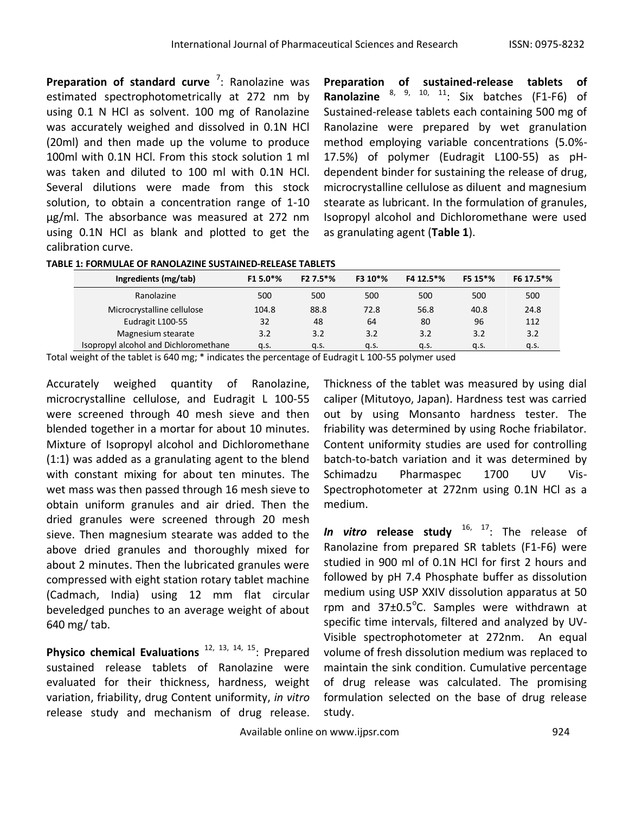Preparation of standard curve<sup>7</sup>: Ranolazine was estimated spectrophotometrically at 272 nm by using 0.1 N HCl as solvent. 100 mg of Ranolazine was accurately weighed and dissolved in 0.1N HCl (20ml) and then made up the volume to produce 100ml with 0.1N HCl. From this stock solution 1 ml was taken and diluted to 100 ml with 0.1N HCl. Several dilutions were made from this stock solution, to obtain a concentration range of 1-10 μg/ml. The absorbance was measured at 272 nm using 0.1N HCl as blank and plotted to get the calibration curve.

**Preparation of sustained-release tablets of Ranolazine** 8, 9, 10, 11 : Six batches (F1-F6) of Sustained-release tablets each containing 500 mg of Ranolazine were prepared by wet granulation method employing variable concentrations (5.0%- 17.5%) of polymer (Eudragit L100-55) as pHdependent binder for sustaining the release of drug, microcrystalline cellulose as diluent and magnesium stearate as lubricant. In the formulation of granules, Isopropyl alcohol and Dichloromethane were used as granulating agent (**Table 1**).

| TABLE 1: FORMULAE OF RANOLAZINE SUSTAINED-RELEASE TABLETS |  |
|-----------------------------------------------------------|--|
|                                                           |  |

| Ingredients (mg/tab)                  | F1 5.0 <sup>*</sup> % | F2 7.5*% | F3 10*% | F4 12.5*% | F5 15*% | F6 17.5*% |
|---------------------------------------|-----------------------|----------|---------|-----------|---------|-----------|
| Ranolazine                            | 500                   | 500      | 500     | 500       | 500     | 500       |
| Microcrystalline cellulose            | 104.8                 | 88.8     | 72.8    | 56.8      | 40.8    | 24.8      |
| Eudragit L100-55                      | 32                    | 48       | 64      | 80        | 96      | 112       |
| Magnesium stearate                    | 3.2                   | 3.2      | 3.2     | 3.2       | 3.2     | 3.2       |
| Isopropyl alcohol and Dichloromethane | q.s.                  | a.s.     | a.s.    | a.s.      | a.s.    | q.s.      |

Total weight of the tablet is 640 mg; \* indicates the percentage of Eudragit L 100-55 polymer used

Accurately weighed quantity of Ranolazine, microcrystalline cellulose, and Eudragit L 100-55 were screened through 40 mesh sieve and then blended together in a mortar for about 10 minutes. Mixture of Isopropyl alcohol and Dichloromethane (1:1) was added as a granulating agent to the blend with constant mixing for about ten minutes. The wet mass was then passed through 16 mesh sieve to obtain uniform granules and air dried. Then the dried granules were screened through 20 mesh sieve. Then magnesium stearate was added to the above dried granules and thoroughly mixed for about 2 minutes. Then the lubricated granules were compressed with eight station rotary tablet machine (Cadmach, India) using 12 mm flat circular beveledged punches to an average weight of about 640 mg/ tab.

Physico chemical Evaluations<sup>12, 13, 14, 15</sup>: Prepared sustained release tablets of Ranolazine were evaluated for their thickness, hardness, weight variation, friability, drug Content uniformity, *in vitro* release study and mechanism of drug release.

Thickness of the tablet was measured by using dial caliper (Mitutoyo, Japan). Hardness test was carried out by using Monsanto hardness tester. The friability was determined by using Roche friabilator. Content uniformity studies are used for controlling batch-to-batch variation and it was determined by Schimadzu Pharmaspec 1700 UV Vis-Spectrophotometer at 272nm using 0.1N HCl as a medium.

*In vitro* **release study** 16, 17 : The release of Ranolazine from prepared SR tablets (F1-F6) were studied in 900 ml of 0.1N HCl for first 2 hours and followed by pH 7.4 Phosphate buffer as dissolution medium using USP XXIV dissolution apparatus at 50 rpm and  $37\pm0.5^{\circ}$ C. Samples were withdrawn at specific time intervals, filtered and analyzed by UV-Visible spectrophotometer at 272nm. An equal volume of fresh dissolution medium was replaced to maintain the sink condition. Cumulative percentage of drug release was calculated. The promising formulation selected on the base of drug release study.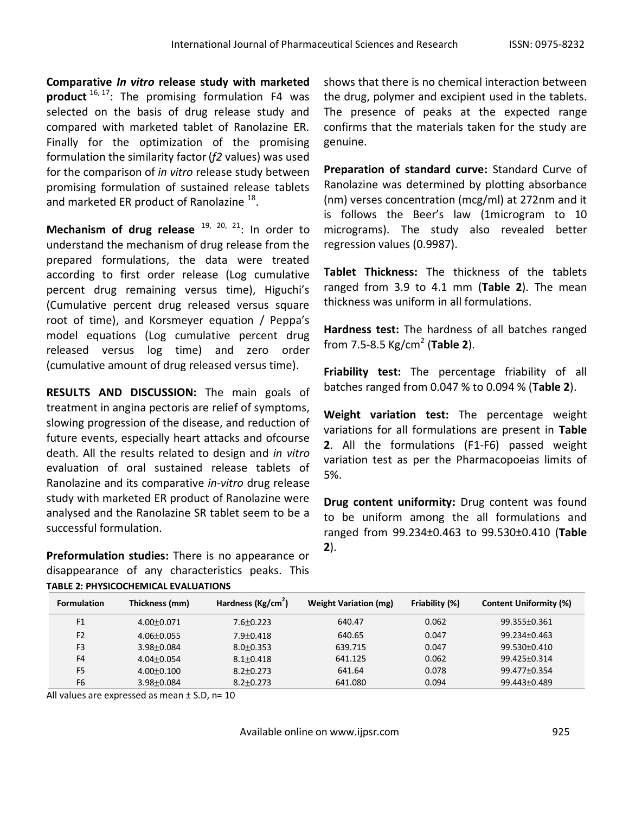**Comparative** *In vitro* **release study with marketed product** 16, 17 : The promising formulation F4 was selected on the basis of drug release study and compared with marketed tablet of Ranolazine ER. Finally for the optimization of the promising formulation the similarity factor(*f2* values) was used for the comparison of *in vitro* release study between promising formulation of sustained release tablets and marketed ER product of Ranolazine  $^{18}$ .

Mechanism of drug release <sup>19, 20, 21</sup>: In order to understand the mechanism of drug release from the prepared formulations, the data were treated according to first order release (Log cumulative percent drug remaining versus time), Higuchi's (Cumulative percent drug released versus square root of time), and Korsmeyer equation / Peppa's model equations (Log cumulative percent drug released versus log time) and zero order (cumulative amount of drug released versus time).

**RESULTS AND DISCUSSION:** The main goals of treatment in angina pectoris are relief of symptoms, slowing progression of the disease, and reduction of future events, especially heart attacks and ofcourse death. All the results related to design and *in vitro* evaluation of oral sustained release tablets of Ranolazine and its comparative *in-vitro* drug release study with marketed ER product of Ranolazine were analysed and the Ranolazine SR tablet seem to be a successful formulation.

**Preformulation studies:** There is no appearance or disappearance of any characteristics peaks. This **TABLE 2: PHYSICOCHEMICAL EVALUATIONS**

shows that there is no chemical interaction between the drug, polymer and excipient used in the tablets. The presence of peaks at the expected range confirms that the materials taken for the study are genuine.

**Preparation of standard curve:** Standard Curve of Ranolazine was determined by plotting absorbance (nm) verses concentration (mcg/ml) at 272nm and it is follows the Beer's law (1microgram to 10 micrograms). The study also revealed better regression values (0.9987).

**Tablet Thickness:** The thickness of the tablets ranged from 3.9 to 4.1 mm (**Table 2**). The mean thickness was uniform in all formulations.

**Hardness test:** The hardness of all batches ranged from 7.5-8.5 Kg/cm<sup>2</sup> (**Table 2**).

**Friability test:** The percentage friability of all batches ranged from 0.047 % to 0.094 % (**Table 2**).

**Weight variation test:** The percentage weight variations for all formulations are present in **Table 2**. All the formulations (F1-F6) passed weight variation test as per the Pharmacopoeias limits of 5%.

**Drug content uniformity:** Drug content was found to be uniform among the all formulations and ranged from 99.234±0.463 to 99.530±0.410 (**Table 2**).

| <b>Formulation</b> | Thickness (mm)   | Hardness (Kg/cm <sup>2</sup> ) | <b>Weight Variation (mg)</b> | Friability (%) | <b>Content Uniformity (%)</b> |
|--------------------|------------------|--------------------------------|------------------------------|----------------|-------------------------------|
| F1                 | $4.00 \pm 0.071$ | $7.6 \pm 0.223$                | 640.47                       | 0.062          | 99.355±0.361                  |
| F <sub>2</sub>     | $4.06 + 0.055$   | $7.9 + 0.418$                  | 640.65                       | 0.047          | 99.234+0.463                  |
| F <sub>3</sub>     | $3.98 \pm 0.084$ | $8.0 \pm 0.353$                | 639.715                      | 0.047          | $99.530 \pm 0.410$            |
| F <sub>4</sub>     | $4.04 + 0.054$   | $8.1 + 0.418$                  | 641.125                      | 0.062          | 99.425±0.314                  |
| F <sub>5</sub>     | $4.00 \pm 0.100$ | $8.2 \pm 0.273$                | 641.64                       | 0.078          | 99.477±0.354                  |
| F <sub>6</sub>     | 3.98±0.084       | $8.2 \pm 0.273$                | 641.080                      | 0.094          | 99.443±0.489                  |

All values are expressed as mean  $\pm$  S.D, n= 10

Available online on www.ijpsr.com example on the set of the set of the set of the set of the set of the set of the set of the set of the set of the set of the set of the set of the set of the set of the set of the set of t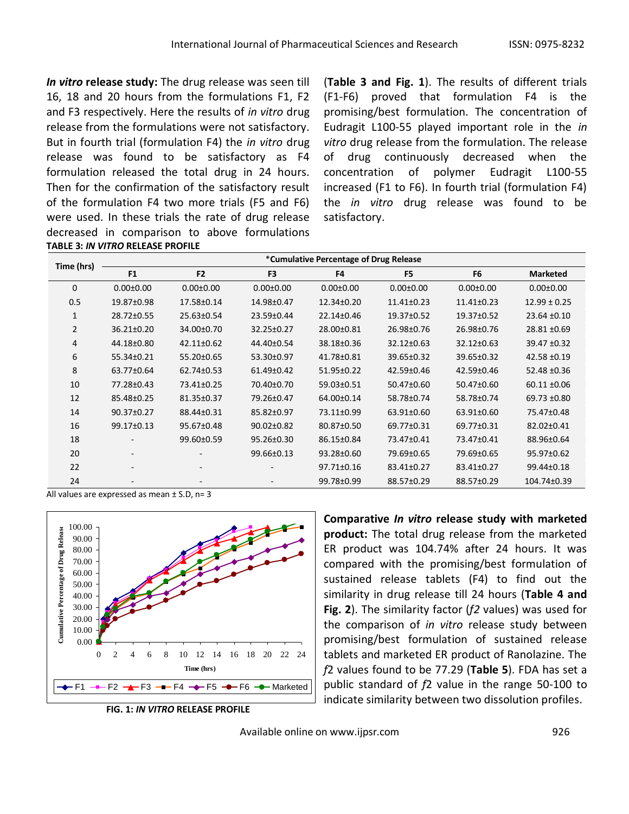*In vitro* **release study:** The drug release was seen till 16, 18 and 20 hours from the formulations F1, F2 and F3 respectively. Here the results of *in vitro* drug release from the formulations were not satisfactory. But in fourth trial (formulation F4) the *in vitro* drug release was found to be satisfactory as F4 formulation released the total drug in 24 hours. Then for the confirmation of the satisfactory result of the formulation F4 two more trials (F5 and F6) were used. In these trials the rate of drug release decreased in comparison to above formulations **TABLE 3:** *IN VITRO* **RELEASE PROFILE**

(**Table 3 and Fig. 1**). The results of different trials (F1-F6) proved that formulation F4 is the promising/best formulation. The concentration of Eudragit L100-55 played important role in the *in vitro* drug release from the formulation. The release of drug continuously decreased when the concentration of polymer Eudragit L100-55 increased (F1 to F6). In fourth trial (formulation F4) the *in vitro* drug release was found to be satisfactory.

|                | *Cumulative Percentage of Drug Release |                          |                  |                 |                  |                  |                  |
|----------------|----------------------------------------|--------------------------|------------------|-----------------|------------------|------------------|------------------|
| Time (hrs)     | F <sub>1</sub>                         | F <sub>2</sub>           | F <sub>3</sub>   | F4              | F <sub>5</sub>   | F <sub>6</sub>   | <b>Marketed</b>  |
| $\mathbf{0}$   | $0.00 \pm 0.00$                        | $0.00 \pm 0.00$          | $0.00 \pm 0.00$  | $0.00 \pm 0.00$ | $0.00 \pm 0.00$  | $0.00 \pm 0.00$  | $0.00 \pm 0.00$  |
| 0.5            | 19.87±0.98                             | 17.58±0.14               | 14.98±0.47       | 12.34±0.20      | $11.41 \pm 0.23$ | $11.41 \pm 0.23$ | $12.99 \pm 0.25$ |
| 1              | 28.72±0.55                             | 25.63±0.54               | 23.59±0.44       | 22.14±0.46      | 19.37±0.52       | 19.37±0.52       | 23.64 ±0.10      |
| $\overline{2}$ | $36.21 \pm 0.20$                       | 34.00±0.70               | 32.25±0.27       | 28.00±0.81      | 26.98±0.76       | 26.98±0.76       | 28.81 ±0.69      |
| 4              | 44.18±0.80                             | $42.11 \pm 0.62$         | 44.40±0.54       | 38.18±0.36      | 32.12±0.63       | 32.12±0.63       | $39.47 \pm 0.32$ |
| 6              | 55.34±0.21                             | 55.20±0.65               | 53.30±0.97       | 41.78±0.81      | 39.65±0.32       | 39.65±0.32       | $42.58 + 0.19$   |
| 8              | 63.77±0.64                             | 62.74±0.53               | 61.49±0.42       | 51.95±0.22      | 42.59±0.46       | 42.59±0.46       | 52.48 ±0.36      |
| 10             | 77.28±0.43                             | 73.41±0.25               | 70.40±0.70       | 59.03±0.51      | 50.47±0.60       | 50.47±0.60       | $60.11 \pm 0.06$ |
| 12             | 85.48±0.25                             | 81.35±0.37               | 79.26±0.47       | 64.00±0.14      | 58.78±0.74       | 58.78±0.74       | 69.73 ±0.80      |
| 14             | 90.37±0.27                             | 88.44±0.31               | 85.82±0.97       | 73.11±0.99      | 63.91±0.60       | 63.91±0.60       | 75.47±0.48       |
| 16             | 99.17±0.13                             | 95.67±0.48               | $90.02 \pm 0.82$ | 80.87±0.50      | 69.77±0.31       | 69.77±0.31       | 82.02±0.41       |
| 18             |                                        | 99.60±0.59               | 95.26±0.30       | 86.15±0.84      | 73.47±0.41       | 73.47±0.41       | 88.96±0.64       |
| 20             |                                        |                          | 99.66±0.13       | 93.28±0.60      | 79.69±0.65       | 79.69±0.65       | 95.97±0.62       |
| 22             |                                        | -                        | -                | 97.71±0.16      | 83.41±0.27       | 83.41±0.27       | 99.44±0.18       |
| 24             |                                        | $\overline{\phantom{a}}$ |                  | 99.78±0.99      | 88.57±0.29       | 88.57±0.29       | 104.74±0.39      |

All values are expressed as mean ± S.D. n= 3



**FIG. 1:** *IN VITRO* **RELEASE PROFILE**

**Comparative** *In vitro* **release study with marketed product:** The total drug release from the marketed ER product was 104.74% after 24 hours. It was compared with the promising/best formulation of sustained release tablets (F4) to find out the similarity in drug release till 24 hours (**Table 4 and Fig. 2**). The similarity factor (*f2* values) was used for the comparison of *in vitro* release study between promising/best formulation of sustained release tablets and marketed ER product of Ranolazine. The *f*2 values found to be 77.29 (**Table 5**). FDA has set a public standard of *f*2 value in the range 50-100 to indicate similarity between two dissolution profiles.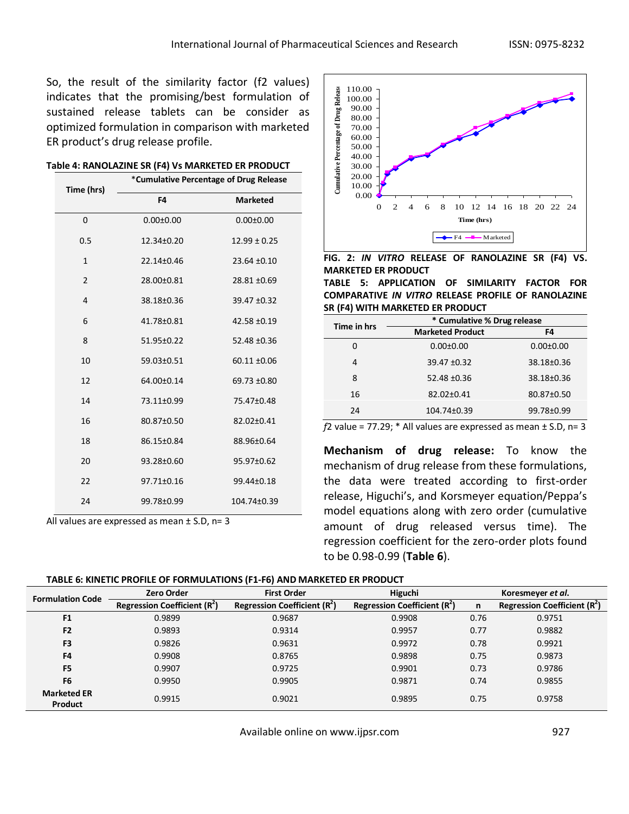So, the result of the similarity factor (f2 values) indicates that the promising/best formulation of sustained release tablets can be consider as optimized formulation in comparison with marketed ER product's drug release profile.

| Time (hrs)     | *Cumulative Percentage of Drug Release |                  |  |  |  |
|----------------|----------------------------------------|------------------|--|--|--|
|                | F4                                     | <b>Marketed</b>  |  |  |  |
| $\Omega$       | $0.00 \pm 0.00$                        | $0.00 \pm 0.00$  |  |  |  |
| 0.5            | 12.34±0.20                             | $12.99 \pm 0.25$ |  |  |  |
| $\mathbf{1}$   | 22.14±0.46                             | 23.64 ±0.10      |  |  |  |
| $\overline{2}$ | 28.00±0.81                             | 28.81 ±0.69      |  |  |  |
| $\overline{4}$ | 38.18±0.36                             | 39.47 ±0.32      |  |  |  |
| 6              | 41.78±0.81                             | 42.58 ±0.19      |  |  |  |
| 8              | 51.95±0.22                             | 52.48 ±0.36      |  |  |  |
| 10             | 59.03±0.51                             | 60.11 ±0.06      |  |  |  |
| 12             | 64.00±0.14                             | 69.73 ±0.80      |  |  |  |
| 14             | 73.11±0.99                             | 75.47±0.48       |  |  |  |
| 16             | 80.87±0.50                             | 82.02±0.41       |  |  |  |
| 18             | 86.15±0.84                             | 88.96±0.64       |  |  |  |
| 20             | 93.28±0.60                             | 95.97±0.62       |  |  |  |
| 22             | 97.71±0.16                             | 99.44±0.18       |  |  |  |
| 24             | 99.78±0.99                             | 104.74±0.39      |  |  |  |

|  | Table 4: RANOLAZINE SR (F4) Vs MARKETED ER PRODUCT |
|--|----------------------------------------------------|
|--|----------------------------------------------------|

All values are expressed as mean  $\pm$  S.D, n= 3



**FIG. 2:** *IN VITRO* **RELEASE OF RANOLAZINE SR (F4) VS. MARKETED ER PRODUCT TABLE 5: APPLICATION OF SIMILARITY FACTOR FOR** 

**COMPARATIVE** *IN VITRO* **RELEASE PROFILE OF RANOLAZINE SR (F4) WITH MARKETED ER PRODUCT**

| Time in hrs | * Cumulative % Drug release |                  |  |  |  |
|-------------|-----------------------------|------------------|--|--|--|
|             | <b>Marketed Product</b>     | F4               |  |  |  |
| 0           | $0.00 \pm 0.00$             | $0.00 + 0.00$    |  |  |  |
| 4           | $39.47 \pm 0.32$            | 38.18±0.36       |  |  |  |
| 8           | $52.48 \pm 0.36$            | 38.18±0.36       |  |  |  |
| 16          | $82.02 \pm 0.41$            | $80.87 \pm 0.50$ |  |  |  |
| 24          | 104.74±0.39                 | 99.78±0.99       |  |  |  |

 $f2$  value = 77.29;  $*$  All values are expressed as mean  $\pm$  S.D, n= 3

**Mechanism of drug release:** To know the mechanism of drug release from these formulations, the data were treated according to first-order release, Higuchi's, and Korsmeyer equation/Peppa's model equations along with zero order (cumulative amount of drug released versus time). The regression coefficient for the zero-order plots found to be 0.98-0.99 (**Table 6**).

| <b>Formulation Code</b>       | <b>First Order</b><br><b>Zero Order</b> |                                               | Higuchi                                       | Koresmeyer et al. |                               |  |
|-------------------------------|-----------------------------------------|-----------------------------------------------|-----------------------------------------------|-------------------|-------------------------------|--|
|                               | Regression Coefficient $(R2)$           | <b>Regression Coefficient (R<sup>2</sup>)</b> | <b>Regression Coefficient (R<sup>2</sup>)</b> | n                 | Regression Coefficient $(R2)$ |  |
| F <sub>1</sub>                | 0.9899                                  | 0.9687                                        | 0.9908                                        | 0.76              | 0.9751                        |  |
| F <sub>2</sub>                | 0.9893                                  | 0.9314                                        | 0.9957                                        | 0.77              | 0.9882                        |  |
| F <sub>3</sub>                | 0.9826                                  | 0.9631                                        | 0.9972                                        | 0.78              | 0.9921                        |  |
| F4                            | 0.9908                                  | 0.8765                                        | 0.9898                                        | 0.75              | 0.9873                        |  |
| F <sub>5</sub>                | 0.9907                                  | 0.9725                                        | 0.9901                                        | 0.73              | 0.9786                        |  |
| F6                            | 0.9950                                  | 0.9905                                        | 0.9871                                        | 0.74              | 0.9855                        |  |
| <b>Marketed ER</b><br>Product | 0.9915                                  | 0.9021                                        | 0.9895                                        | 0.75              | 0.9758                        |  |

Available online on www.ijpsr.com example on the same of the set of the set of the set of the set of the set o